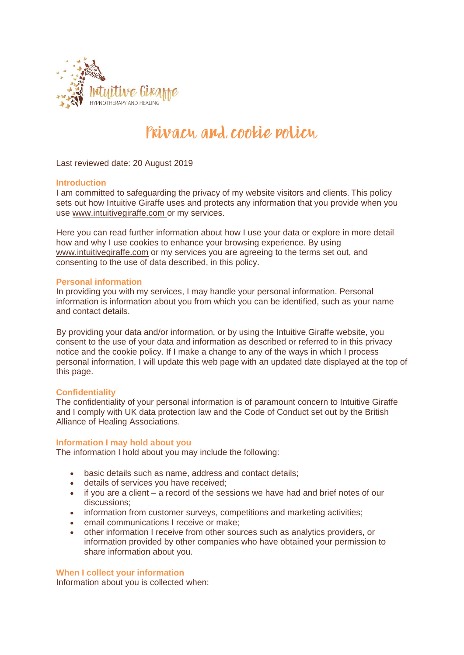

# Privacy and cookie policy

Last reviewed date: 20 August 2019

# **Introduction**

I am committed to safeguarding the privacy of my website visitors and clients. This policy sets out how Intuitive Giraffe uses and protects any information that you provide when you use [www.intuitivegiraffe.com](http://www.intuitivegiraffe.com/) or my services.

Here you can read further information about how I use your data or explore in more detail how and why I use cookies to enhance your browsing experience. By using [www.intuitivegiraffe.com](http://www.intuitivegiraffe.com/) or my services you are agreeing to the terms set out, and consenting to the use of data described, in this policy.

# **Personal information**

In providing you with my services, I may handle your personal information. Personal information is information about you from which you can be identified, such as your name and contact details.

By providing your data and/or information, or by using the Intuitive Giraffe website, you consent to the use of your data and information as described or referred to in this privacy notice and the cookie policy. If I make a change to any of the ways in which I process personal information, I will update this web page with an updated date displayed at the top of this page.

# **Confidentiality**

The confidentiality of your personal information is of paramount concern to Intuitive Giraffe and I comply with UK data protection law and the Code of Conduct set out by the British Alliance of Healing Associations.

#### **Information I may hold about you**

The information I hold about you may include the following:

- basic details such as name, address and contact details;
- details of services you have received;
- if you are a client a record of the sessions we have had and brief notes of our discussions;
- information from customer surveys, competitions and marketing activities;
- email communications I receive or make:
- other information I receive from other sources such as analytics providers, or information provided by other companies who have obtained your permission to share information about you.

# **When I collect your information**

Information about you is collected when: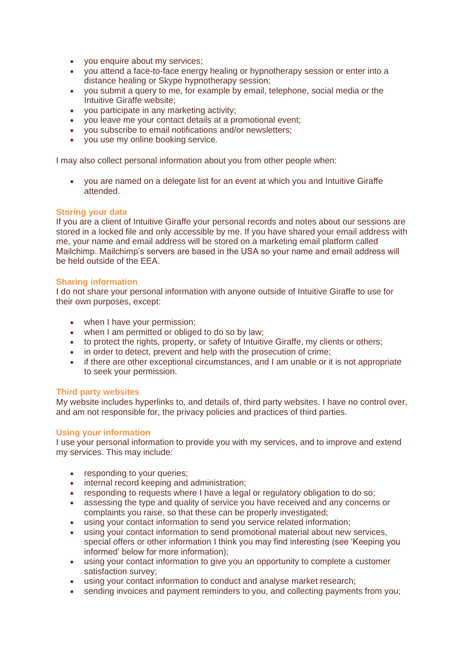- you enquire about my services;
- you attend a face-to-face energy healing or hypnotherapy session or enter into a distance healing or Skype hypnotherapy session;
- you submit a query to me, for example by email, telephone, social media or the Intuitive Giraffe website;
- you participate in any marketing activity;
- you leave me your contact details at a promotional event;
- you subscribe to email notifications and/or newsletters;
- you use my online booking service.

I may also collect personal information about you from other people when:

• you are named on a delegate list for an event at which you and Intuitive Giraffe attended.

# **Storing your data**

If you are a client of Intuitive Giraffe your personal records and notes about our sessions are stored in a locked file and only accessible by me. If you have shared your email address with me, your name and email address will be stored on a marketing email platform called Mailchimp. Mailchimp's servers are based in the USA so your name and email address will be held outside of the EEA.

# **Sharing information**

I do not share your personal information with anyone outside of Intuitive Giraffe to use for their own purposes, except:

- when I have your permission;
- when I am permitted or obliged to do so by law;
- to protect the rights, property, or safety of Intuitive Giraffe, my clients or others;
- in order to detect, prevent and help with the prosecution of crime;
- if there are other exceptional circumstances, and I am unable or it is not appropriate to seek your permission.

#### **Third party websites**

My website includes hyperlinks to, and details of, third party websites. I have no control over, and am not responsible for, the privacy policies and practices of third parties.

#### **Using your information**

I use your personal information to provide you with my services, and to improve and extend my services. This may include:

- responding to your queries;
- internal record keeping and administration;
- responding to requests where I have a legal or regulatory obligation to do so;
- assessing the type and quality of service you have received and any concerns or complaints you raise, so that these can be properly investigated;
- using your contact information to send you service related information;
- using your contact information to send promotional material about new services. special offers or other information I think you may find interesting (see 'Keeping you informed' below for more information);
- using your contact information to give you an opportunity to complete a customer satisfaction survey;
- using your contact information to conduct and analyse market research;
- sending invoices and payment reminders to you, and collecting payments from you;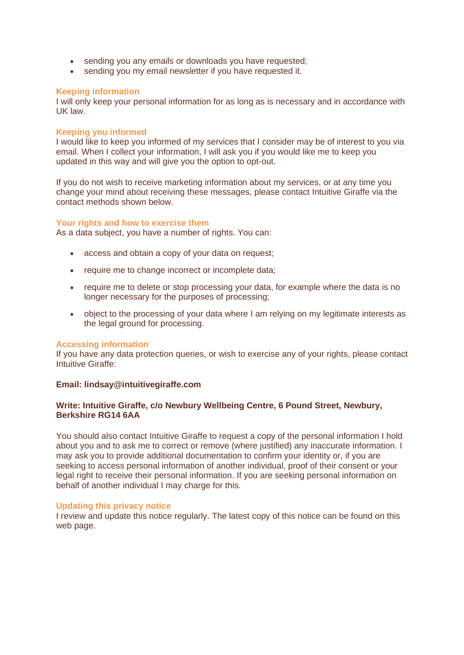- sending you any emails or downloads you have requested;
- sending you my email newsletter if you have requested it.

# **Keeping information**

I will only keep your personal information for as long as is necessary and in accordance with UK law.

# **Keeping you informed**

I would like to keep you informed of my services that I consider may be of interest to you via email. When I collect your information, I will ask you if you would like me to keep you updated in this way and will give you the option to opt-out.

If you do not wish to receive marketing information about my services, or at any time you change your mind about receiving these messages, please contact Intuitive Giraffe via the contact methods shown below.

#### **Your rights and how to exercise them**

As a data subject, you have a number of rights. You can:

- access and obtain a copy of your data on request;
- require me to change incorrect or incomplete data;
- require me to delete or stop processing your data, for example where the data is no longer necessary for the purposes of processing;
- object to the processing of your data where I am relying on my legitimate interests as the legal ground for processing.

#### **Accessing information**

If you have any data protection queries, or wish to exercise any of your rights, please contact Intuitive Giraffe:

#### **Email: lindsay@intuitivegiraffe.com**

# **Write: Intuitive Giraffe, c/o Newbury Wellbeing Centre, 6 Pound Street, Newbury, Berkshire RG14 6AA**

You should also contact Intuitive Giraffe to request a copy of the personal information I hold about you and to ask me to correct or remove (where justified) any inaccurate information. I may ask you to provide additional documentation to confirm your identity or, if you are seeking to access personal information of another individual, proof of their consent or your legal right to receive their personal information. If you are seeking personal information on behalf of another individual I may charge for this.

#### **Updating this privacy notice**

I review and update this notice regularly. The latest copy of this notice can be found on this web page.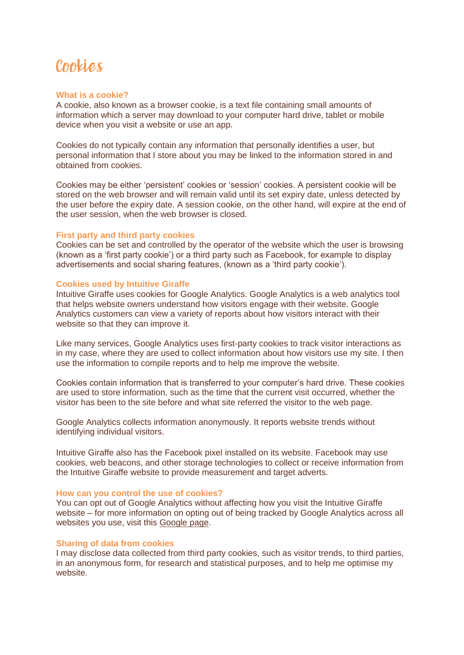# Cookies

#### **What is a cookie?**

A cookie, also known as a browser cookie, is a text file containing small amounts of information which a server may download to your computer hard drive, tablet or mobile device when you visit a website or use an app.

Cookies do not typically contain any information that personally identifies a user, but personal information that I store about you may be linked to the information stored in and obtained from cookies.

Cookies may be either 'persistent' cookies or 'session' cookies. A persistent cookie will be stored on the web browser and will remain valid until its set expiry date, unless detected by the user before the expiry date. A session cookie, on the other hand, will expire at the end of the user session, when the web browser is closed.

#### **First party and third party cookies**

Cookies can be set and controlled by the operator of the website which the user is browsing (known as a 'first party cookie') or a third party such as Facebook, for example to display advertisements and social sharing features, (known as a 'third party cookie').

#### **Cookies used by Intuitive Giraffe**

Intuitive Giraffe uses cookies for Google Analytics. Google Analytics is a web analytics tool that helps website owners understand how visitors engage with their website. Google Analytics customers can view a variety of reports about how visitors interact with their website so that they can improve it.

Like many services, Google Analytics uses first-party cookies to track visitor interactions as in my case, where they are used to collect information about how visitors use my site. I then use the information to compile reports and to help me improve the website.

Cookies contain information that is transferred to your computer's hard drive. These cookies are used to store information, such as the time that the current visit occurred, whether the visitor has been to the site before and what site referred the visitor to the web page.

Google Analytics collects information anonymously. It reports website trends without identifying individual visitors.

Intuitive Giraffe also has the Facebook pixel installed on its website. Facebook may use cookies, web beacons, and other storage technologies to collect or receive information from the Intuitive Giraffe website to provide measurement and target adverts.

#### **How can you control the use of cookies?**

You can opt out of Google Analytics without affecting how you visit the Intuitive Giraffe website – for more information on opting out of being tracked by Google Analytics across all websites you use, visit this [Google page.](http://tools.google.com/dlpage/gaoptout)

#### **Sharing of data from cookies**

I may disclose data collected from third party cookies, such as visitor trends, to third parties, in an anonymous form, for research and statistical purposes, and to help me optimise my website.